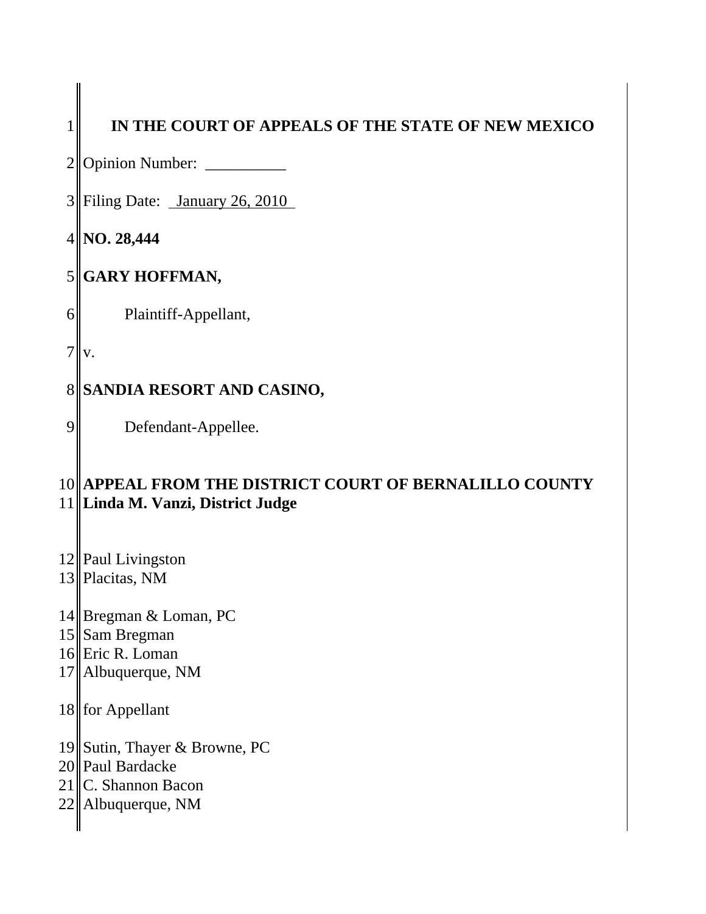# 1<sup>|</sup> IN THE COURT OF APPEALS OF THE STATE OF NEW MEXICO

2 Opinion Number: \_\_\_\_\_\_\_\_\_\_

 $3$  Filing Date: <u>January 26, 2010</u>

4 **NO. 28,444**

# 5 **GARY HOFFMAN,**

6 Plaintiff-Appellant,

 $7\vert v.$ 

# 8 **SANDIA RESORT AND CASINO,**

9 Defendant-Appellee.

## 10 **APPEAL FROM THE DISTRICT COURT OF BERNALILLO COUNTY** 11 **Linda M. Vanzi, District Judge**

12 Paul Livingston

13 Placitas, NM

- 14 Bregman & Loman, PC
- 15 Sam Bregman
- 16 Eric R. Loman
- 17 Albuquerque, NM

## 18 for Appellant

- 19 Sutin, Thayer & Browne, PC
- 20 Paul Bardacke
- 21 C. Shannon Bacon
- $22$  Albuquerque, NM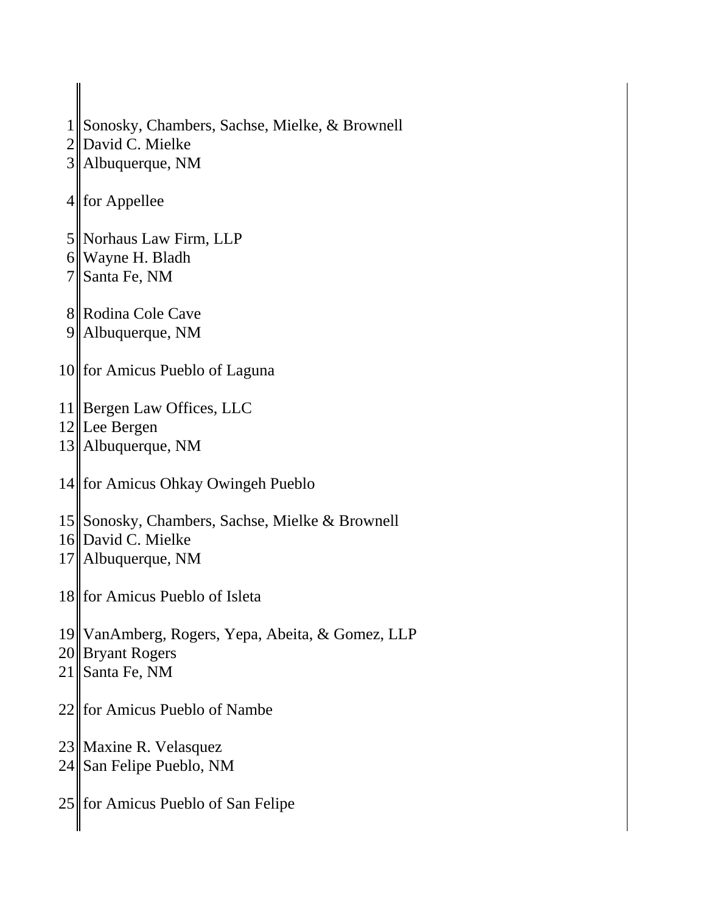1 Sonosky, Chambers, Sachse, Mielke, & Brownell  $2$  David C. Mielke 3 Albuquerque, NM  $4$  for Appellee 5 Norhaus Law Firm, LLP 6 Wayne H. Bladh 7 Santa Fe, NM 8 Rodina Cole Cave 9 Albuquerque, NM 10 for Amicus Pueblo of Laguna 11 Bergen Law Offices, LLC 12 Lee Bergen 13 Albuquerque, NM 14 for Amicus Ohkay Owingeh Pueblo 15 Sonosky, Chambers, Sachse, Mielke & Brownell 16 David C. Mielke 17 Albuquerque, NM 18 for Amicus Pueblo of Isleta 19 VanAmberg, Rogers, Yepa, Abeita, & Gomez, LLP 20 Bryant Rogers 21 Santa Fe, NM 22 for Amicus Pueblo of Nambe 23 Maxine R. Velasquez 24 San Felipe Pueblo, NM 25 for Amicus Pueblo of San Felipe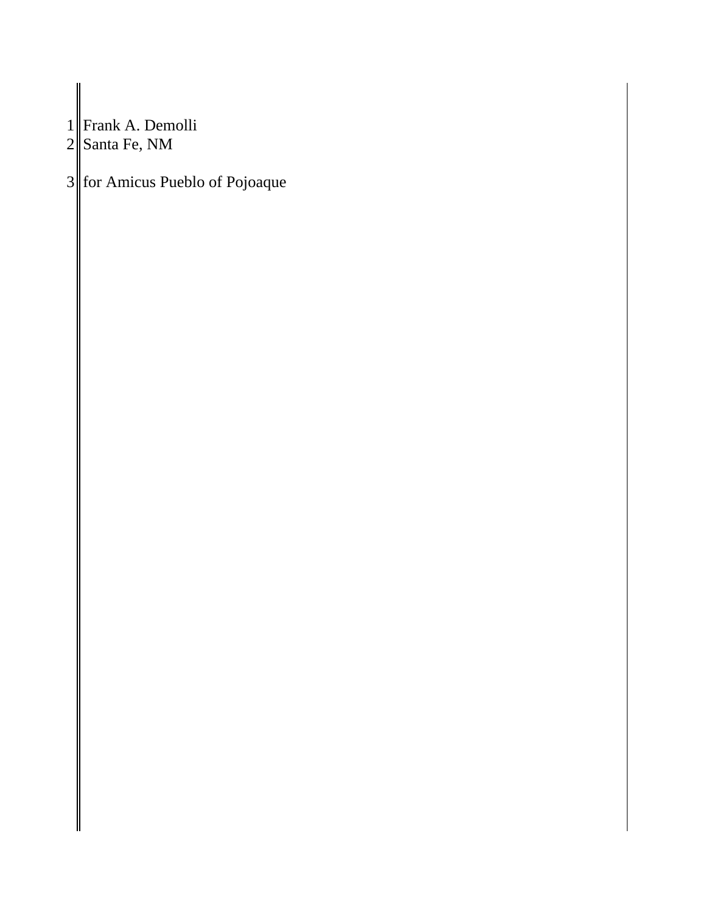## 1 Frank A. Demolli 2∥Santa Fe, NM

3 for Amicus Pueblo of Pojoaque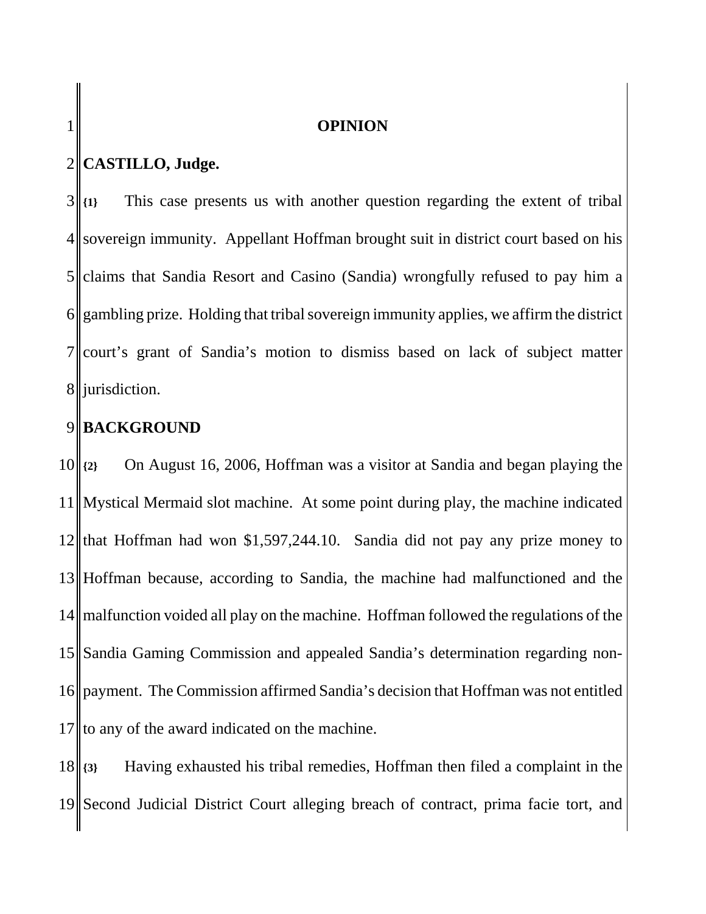#### 1|| **OPINION**

#### **CASTILLO, Judge.**

 $3 \| {\mathfrak{q}}_1$  This case presents us with another question regarding the extent of tribal sovereign immunity. Appellant Hoffman brought suit in district court based on his claims that Sandia Resort and Casino (Sandia) wrongfully refused to pay him a gambling prize. Holding that tribal sovereign immunity applies, we affirm the district 7 court's grant of Sandia's motion to dismiss based on lack of subject matter 8 jurisdiction.

## **BACKGROUND**

 **{2}** On August 16, 2006, Hoffman was a visitor at Sandia and began playing the Mystical Mermaid slot machine. At some point during play, the machine indicated 12 that Hoffman had won \$1,597,244.10. Sandia did not pay any prize money to Hoffman because, according to Sandia, the machine had malfunctioned and the malfunction voided all play on the machine. Hoffman followed the regulations of the Sandia Gaming Commission and appealed Sandia's determination regarding non-16 payment. The Commission affirmed Sandia's decision that Hoffman was not entitled to any of the award indicated on the machine.

 **{3}** Having exhausted his tribal remedies, Hoffman then filed a complaint in the Second Judicial District Court alleging breach of contract, prima facie tort, and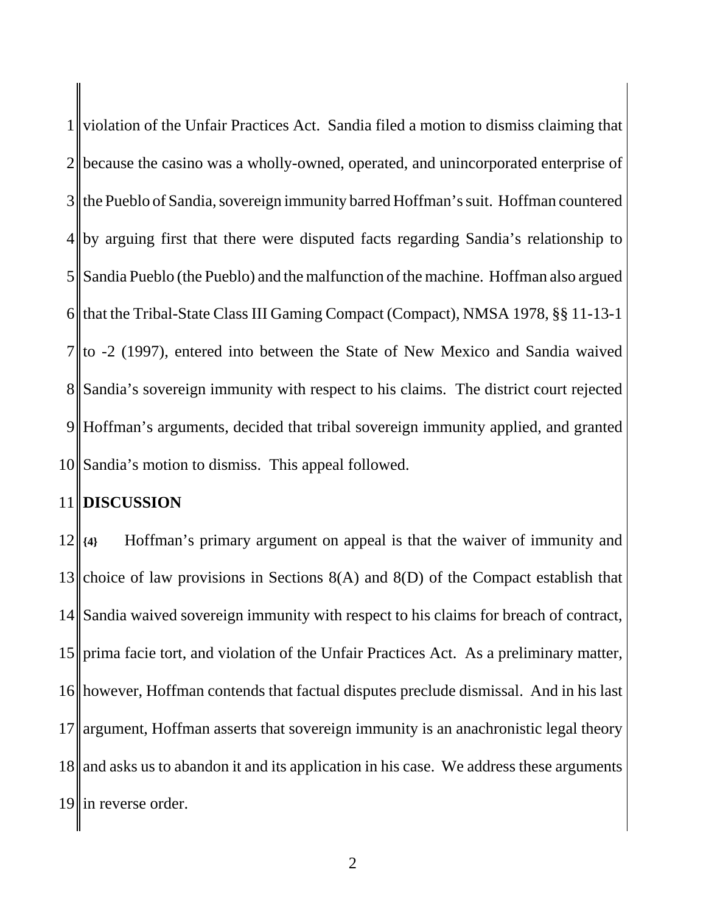violation of the Unfair Practices Act. Sandia filed a motion to dismiss claiming that because the casino was a wholly-owned, operated, and unincorporated enterprise of the Pueblo of Sandia, sovereign immunity barred Hoffman's suit. Hoffman countered  $4 \parallel$  by arguing first that there were disputed facts regarding Sandia's relationship to Sandia Pueblo (the Pueblo) and the malfunction of the machine. Hoffman also argued that the Tribal-State Class III Gaming Compact (Compact), NMSA 1978, §§ 11-13-1 to -2 (1997), entered into between the State of New Mexico and Sandia waived 8 Sandia's sovereign immunity with respect to his claims. The district court rejected Hoffman's arguments, decided that tribal sovereign immunity applied, and granted 10 Sandia's motion to dismiss. This appeal followed.

#### **DISCUSSION**

 **{4}** Hoffman's primary argument on appeal is that the waiver of immunity and 13 choice of law provisions in Sections  $8(A)$  and  $8(D)$  of the Compact establish that 14 Sandia waived sovereign immunity with respect to his claims for breach of contract, 15 prima facie tort, and violation of the Unfair Practices Act. As a preliminary matter, however, Hoffman contends that factual disputes preclude dismissal. And in his last argument, Hoffman asserts that sovereign immunity is an anachronistic legal theory 18 and asks us to abandon it and its application in his case. We address these arguments in reverse order.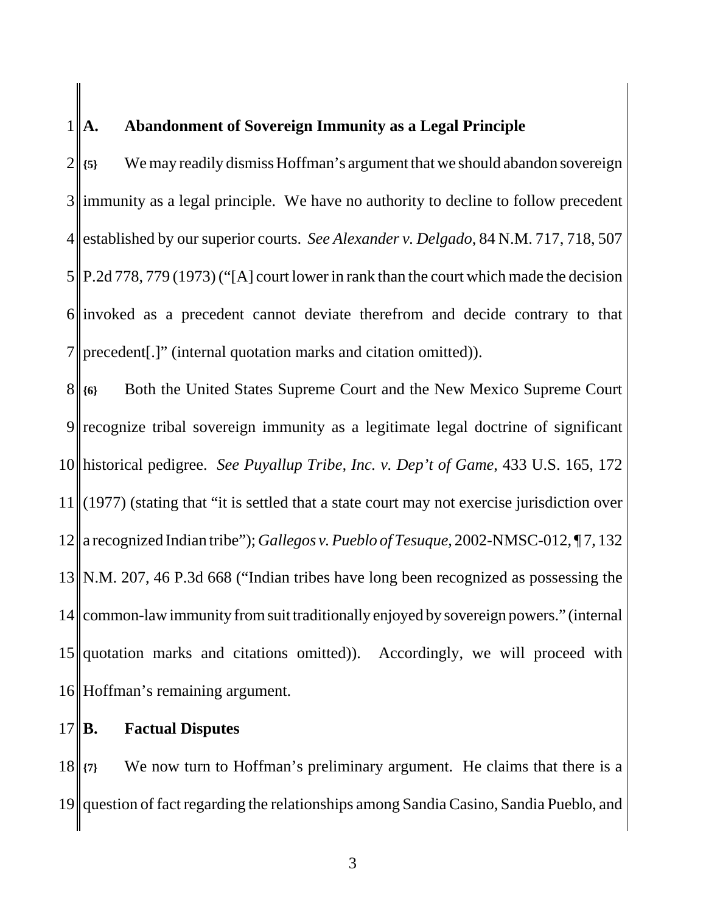#### **A. Abandonment of Sovereign Immunity as a Legal Principle**

 **{5}** We may readily dismiss Hoffman's argument that we should abandon sovereign immunity as a legal principle. We have no authority to decline to follow precedent established by our superior courts. *See Alexander v. Delgado*, 84 N.M. 717, 718, 507  $5||P.2d778,779(1973)$  ("[A] court lower in rank than the court which made the decision invoked as a precedent cannot deviate therefrom and decide contrary to that precedent [.]" (internal quotation marks and citation omitted)).

8<sup>1</sup><sub>8</sub> Both the United States Supreme Court and the New Mexico Supreme Court 9 recognize tribal sovereign immunity as a legitimate legal doctrine of significant historical pedigree. *See Puyallup Tribe, Inc. v. Dep't of Game*, 433 U.S. 165, 172 (1977) (stating that "it is settled that a state court may not exercise jurisdiction over a recognized Indian tribe"); *Gallegos v. Pueblo of Tesuque*, 2002-NMSC-012, ¶ 7, 132 N.M. 207, 46 P.3d 668 ("Indian tribes have long been recognized as possessing the common-law immunity from suit traditionally enjoyed by sovereign powers." (internal quotation marks and citations omitted)). Accordingly, we will proceed with 16 Hoffman's remaining argument.

### **B. Factual Disputes**

 $18 \mid \{7\}$  We now turn to Hoffman's preliminary argument. He claims that there is a question of fact regarding the relationships among Sandia Casino, Sandia Pueblo, and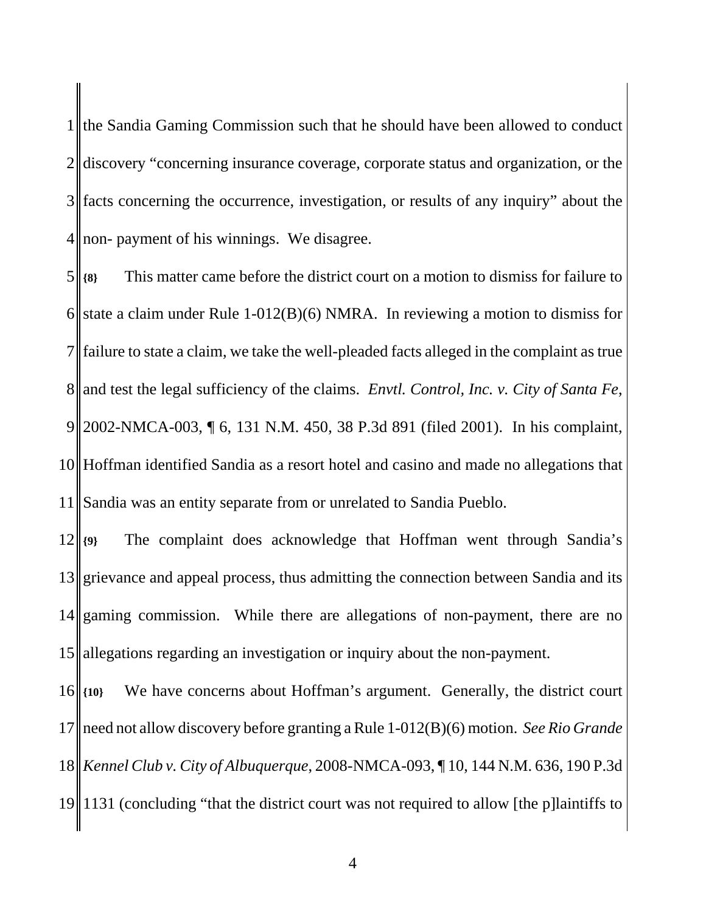the Sandia Gaming Commission such that he should have been allowed to conduct discovery "concerning insurance coverage, corporate status and organization, or the facts concerning the occurrence, investigation, or results of any inquiry" about the non-payment of his winnings. We disagree.

 **{8}** This matter came before the district court on a motion to dismiss for failure to 6 state a claim under Rule 1-012(B)(6) NMRA. In reviewing a motion to dismiss for failure to state a claim, we take the well-pleaded facts alleged in the complaint as true 8 and test the legal sufficiency of the claims. *Envtl. Control, Inc. v. City of Santa Fe*, 2002-NMCA-003, ¶ 6, 131 N.M. 450, 38 P.3d 891 (filed 2001). In his complaint, Hoffman identified Sandia as a resort hotel and casino and made no allegations that Sandia was an entity separate from or unrelated to Sandia Pueblo.

 **{9}** The complaint does acknowledge that Hoffman went through Sandia's grievance and appeal process, thus admitting the connection between Sandia and its gaming commission. While there are allegations of non-payment, there are no allegations regarding an investigation or inquiry about the non-payment.

 **{10}** We have concerns about Hoffman's argument. Generally, the district court need not allow discovery before granting a Rule 1-012(B)(6) motion. *See Rio Grande Kennel Club v. City of Albuquerque*, 2008-NMCA-093, ¶ 10, 144 N.M. 636, 190 P.3d 1131 (concluding "that the district court was not required to allow [the p]laintiffs to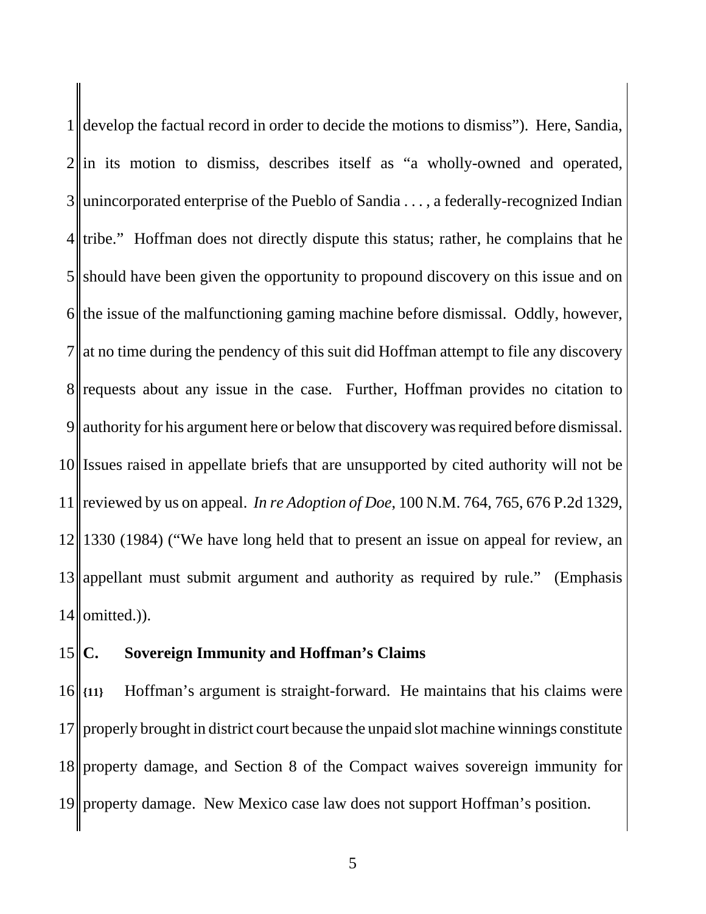develop the factual record in order to decide the motions to dismiss"). Here, Sandia, ||in its motion to dismiss, describes itself as "a wholly-owned and operated, unincorporated enterprise of the Pueblo of Sandia . . . , a federally-recognized Indian tribe." Hoffman does not directly dispute this status; rather, he complains that he should have been given the opportunity to propound discovery on this issue and on 6 the issue of the malfunctioning gaming machine before dismissal. Oddly, however, at no time during the pendency of this suit did Hoffman attempt to file any discovery 8 requests about any issue in the case. Further, Hoffman provides no citation to 9 authority for his argument here or below that discovery was required before dismissal. Issues raised in appellate briefs that are unsupported by cited authority will not be reviewed by us on appeal. *In re Adoption of Doe*, 100 N.M. 764, 765, 676 P.2d 1329, 1330 (1984) ("We have long held that to present an issue on appeal for review, an 13 appellant must submit argument and authority as required by rule." (Emphasis omitted.)).

#### **C. Sovereign Immunity and Hoffman's Claims**

 **{11}** Hoffman's argument is straight-forward. He maintains that his claims were properly brought in district court because the unpaid slot machine winnings constitute 18 property damage, and Section 8 of the Compact waives sovereign immunity for property damage. New Mexico case law does not support Hoffman's position.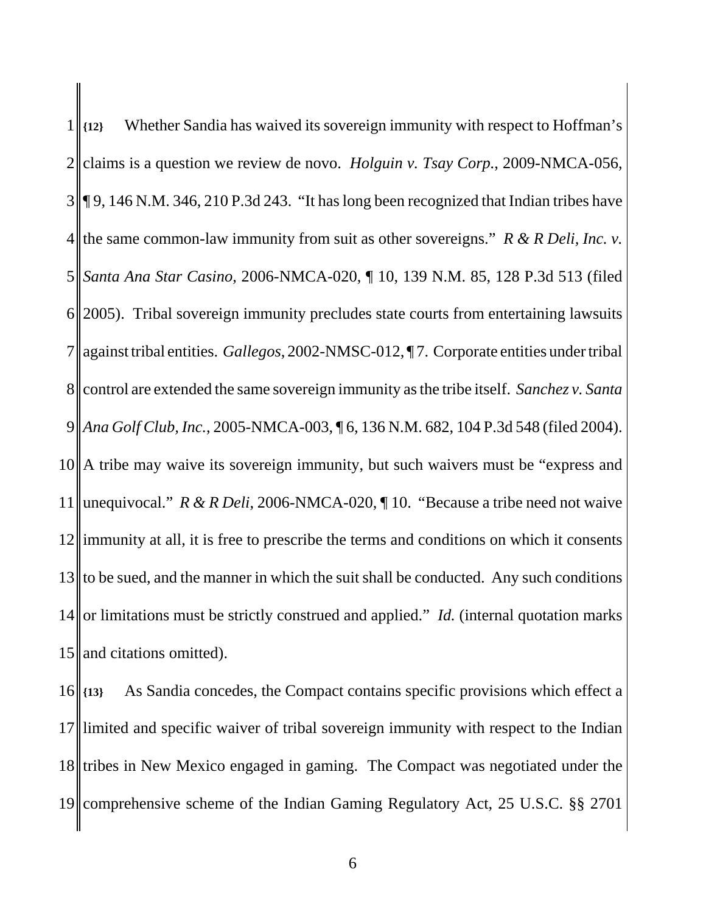**{12}** Whether Sandia has waived its sovereign immunity with respect to Hoffman's 2 claims is a question we review de novo. *Holguin v. Tsay Corp.*, 2009-NMCA-056, | [9, 146 N.M. 346, 210 P.3d 243. "It has long been recognized that Indian tribes have 4 the same common-law immunity from suit as other sovereigns." *R & R Deli, Inc. v. Santa Ana Star Casino*, 2006-NMCA-020, ¶ 10, 139 N.M. 85, 128 P.3d 513 (filed 2005). Tribal sovereign immunity precludes state courts from entertaining lawsuits against tribal entities. *Gallegos*, 2002-NMSC-012, ¶ 7. Corporate entities under tribal 8 control are extended the same sovereign immunity as the tribe itself. *Sanchez v. Santa Ana Golf Club, Inc.*, 2005-NMCA-003, ¶ 6, 136 N.M. 682, 104 P.3d 548 (filed 2004). A tribe may waive its sovereign immunity, but such waivers must be "express and" unequivocal." *R & R Deli*, 2006-NMCA-020, ¶ 10. "Because a tribe need not waive immunity at all, it is free to prescribe the terms and conditions on which it consents to be sued, and the manner in which the suit shall be conducted. Any such conditions 14 or limitations must be strictly construed and applied." *Id.* (internal quotation marks 15 and citations omitted).

 **{13}** As Sandia concedes, the Compact contains specific provisions which effect a limited and specific waiver of tribal sovereign immunity with respect to the Indian 18 tribes in New Mexico engaged in gaming. The Compact was negotiated under the 19 comprehensive scheme of the Indian Gaming Regulatory Act, 25 U.S.C. §§ 2701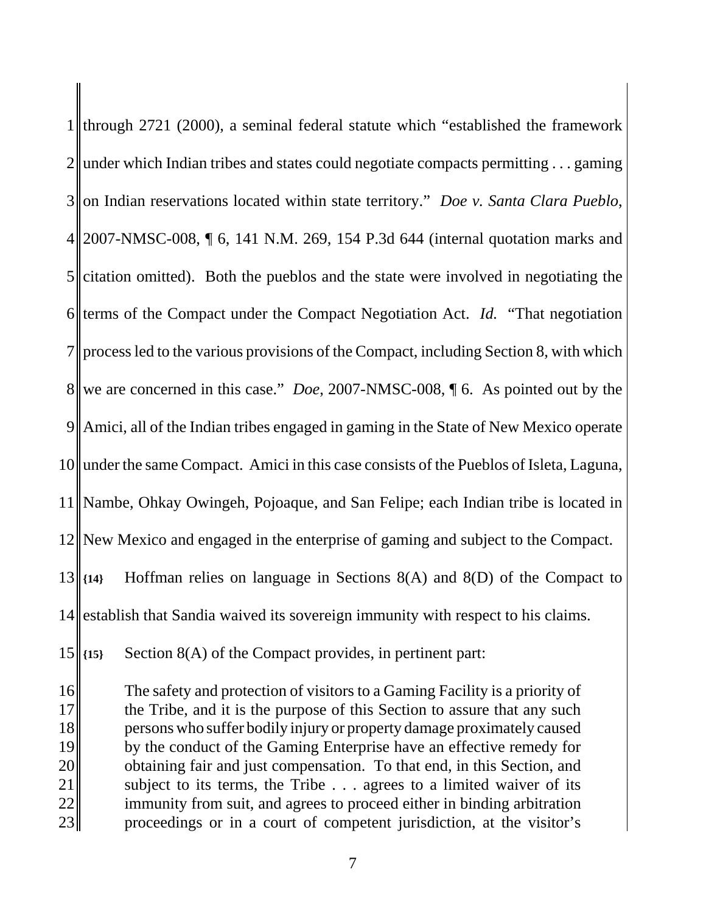|                | 1  through 2721 (2000), a seminal federal statute which "established the framework"                                                                                                                                               |
|----------------|-----------------------------------------------------------------------------------------------------------------------------------------------------------------------------------------------------------------------------------|
|                | 2 under which Indian tribes and states could negotiate compacts permitting $\dots$ gaming                                                                                                                                         |
|                | $3$ on Indian reservations located within state territory." Doe v. Santa Clara Pueblo,                                                                                                                                            |
|                | 4  2007-NMSC-008, $\parallel$ 6, 141 N.M. 269, 154 P.3d 644 (internal quotation marks and                                                                                                                                         |
|                | $5$ citation omitted). Both the pueblos and the state were involved in negotiating the                                                                                                                                            |
|                | 6 terms of the Compact under the Compact Negotiation Act. <i>Id.</i> "That negotiation"                                                                                                                                           |
|                | 7   process led to the various provisions of the Compact, including Section 8, with which                                                                                                                                         |
|                | 8 we are concerned in this case." <i>Doe</i> , 2007-NMSC-008, $\parallel$ 6. As pointed out by the                                                                                                                                |
|                | 9 Amici, all of the Indian tribes engaged in gaming in the State of New Mexico operate                                                                                                                                            |
|                | 10 under the same Compact. Amici in this case consists of the Pueblos of Isleta, Laguna,                                                                                                                                          |
|                | 11 Nambe, Ohkay Owingeh, Pojoaque, and San Felipe; each Indian tribe is located in                                                                                                                                                |
|                | 12 New Mexico and engaged in the enterprise of gaming and subject to the Compact.                                                                                                                                                 |
|                | $13$ {14}<br>Hoffman relies on language in Sections $8(A)$ and $8(D)$ of the Compact to                                                                                                                                           |
|                | 14 establish that Sandia waived its sovereign immunity with respect to his claims.                                                                                                                                                |
|                | Section 8(A) of the Compact provides, in pertinent part:<br>$15$   {15}                                                                                                                                                           |
| 16<br>17<br>18 | The safety and protection of visitors to a Gaming Facility is a priority of<br>the Tribe, and it is the purpose of this Section to assure that any such<br>persons who suffer bodily injury or property damage proximately caused |

18 persons who suffer bodily injury or property damage proximately caused 19 by the conduct of the Gaming Enterprise have an effective remedy for 20 obtaining fair and just compensation. To that end, in this Section, and 21 subject to its terms, the Tribe  $\ldots$  agrees to a limited waiver of its 22 immunity from suit, and agrees to proceed either in binding arbitration<br>23 proceedings or in a court of competent jurisdiction, at the visitor's proceedings or in a court of competent jurisdiction, at the visitor's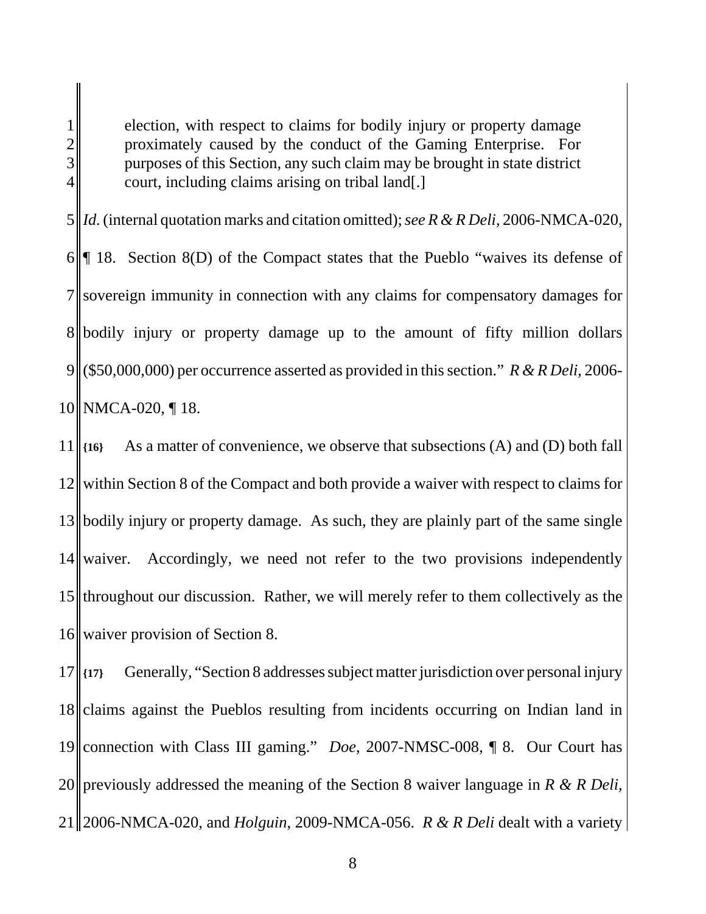1. election, with respect to claims for bodily injury or property damage 2<br>proximately caused by the conduct of the Gaming Enterprise. For<br>purposes of this Section, any such claim may be brought in state district 3 purposes of this Section, any such claim may be brought in state district  $4 \parallel$  court, including claims arising on tribal land[.]

5 *Id.* (internal quotation marks and citation omitted); *see R & R Deli*, 2006-NMCA-020,  $6 \leq 18$ . Section 8(D) of the Compact states that the Pueblo "waives its defense of  $7$  sovereign immunity in connection with any claims for compensatory damages for 8 bodily injury or property damage up to the amount of fifty million dollars 9 (\$50,000,000) per occurrence asserted as provided in this section." *R & R Deli*, 2006- 10 NMCA-020, 18.

 **{16}** As a matter of convenience, we observe that subsections (A) and (D) both fall within Section 8 of the Compact and both provide a waiver with respect to claims for bodily injury or property damage. As such, they are plainly part of the same single 14 waiver. Accordingly, we need not refer to the two provisions independently throughout our discussion. Rather, we will merely refer to them collectively as the 16 waiver provision of Section 8.

17 **{17}** Generally, "Section 8 addresses subject matter jurisdiction over personal injury 18 claims against the Pueblos resulting from incidents occurring on Indian land in 19 connection with Class III gaming." *Doe*, 2007-NMSC-008, 98. Our Court has 20 previously addressed the meaning of the Section 8 waiver language in *R & R Deli*,  $21$  2006-NMCA-020, and *Holguin*, 2009-NMCA-056. *R & R Deli* dealt with a variety

8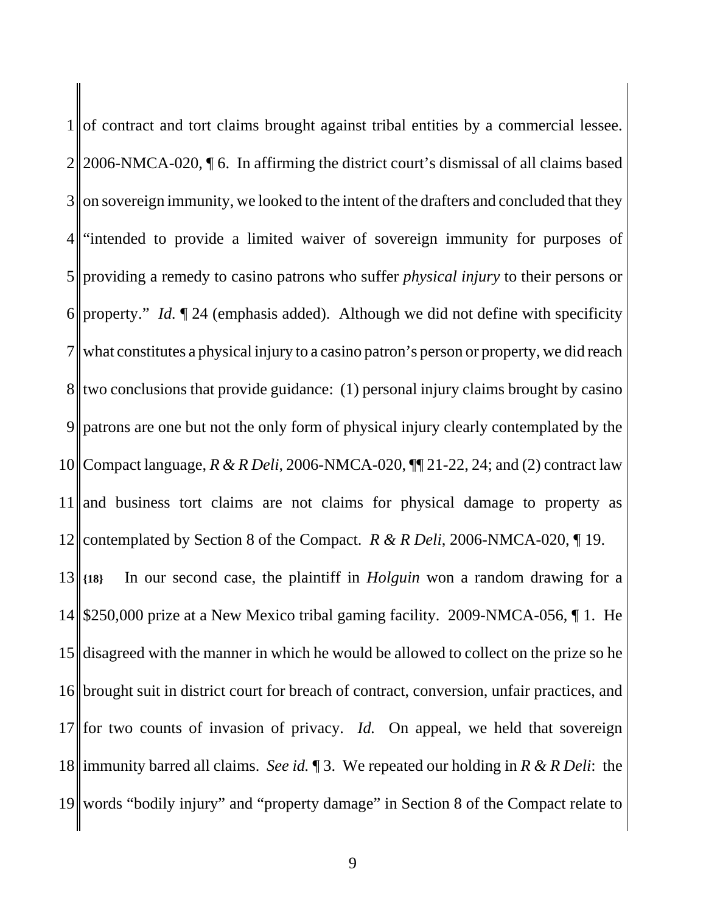of contract and tort claims brought against tribal entities by a commercial lessee.  $2 \| 2006\text{-}N MCA-020, \P 6$ . In affirming the district court's dismissal of all claims based on sovereign immunity, we looked to the intent of the drafters and concluded that they "intended to provide a limited waiver of sovereign immunity for purposes of providing a remedy to casino patrons who suffer *physical injury* to their persons or 6 property." *Id.*  $\llbracket 24 \text{ (emphasis added)}$ . Although we did not define with specificity what constitutes a physical injury to a casino patron's person or property, we did reach two conclusions that provide guidance: (1) personal injury claims brought by casino 9 patrons are one but not the only form of physical injury clearly contemplated by the Compact language, *R & R Deli*, 2006-NMCA-020, ¶¶ 21-22, 24; and (2) contract law and business tort claims are not claims for physical damage to property as 12 contemplated by Section 8 of the Compact. *R & R Deli*, 2006-NMCA-020, 19. **{18}** In our second case, the plaintiff in *Holguin* won a random drawing for a  $\parallel$  \$250,000 prize at a New Mexico tribal gaming facility. 2009-NMCA-056,  $\P$  1. He disagreed with the manner in which he would be allowed to collect on the prize so he brought suit in district court for breach of contract, conversion, unfair practices, and 17 for two counts of invasion of privacy. *Id.* On appeal, we held that sovereign immunity barred all claims. *See id.* ¶ 3. We repeated our holding in *R & R Deli*: the words "bodily injury" and "property damage" in Section 8 of the Compact relate to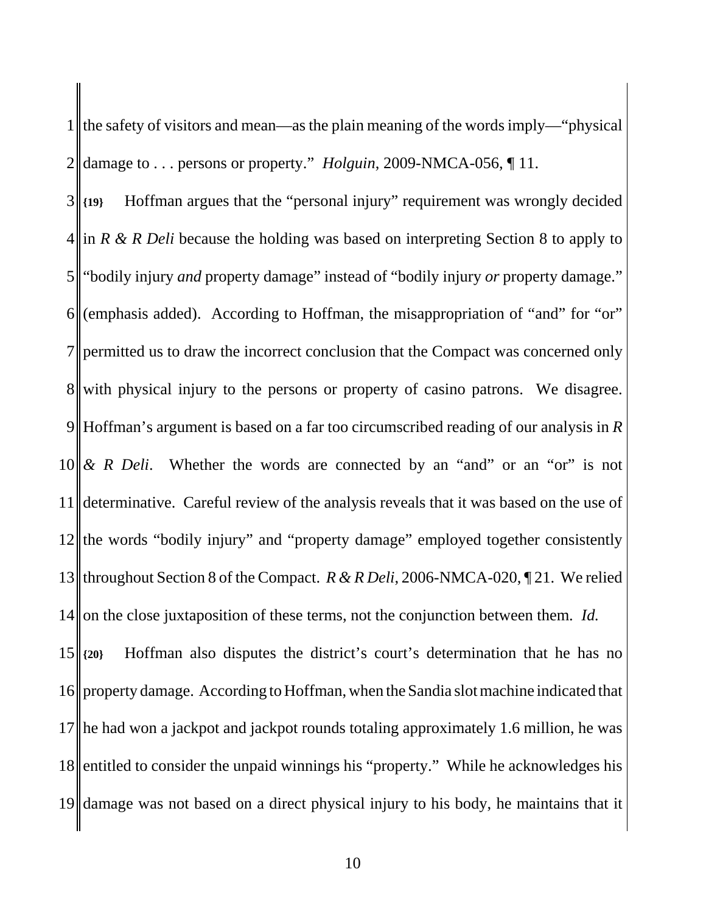the safety of visitors and mean—as the plain meaning of the words imply—"physical 2 damage to ... persons or property." *Holguin*, 2009-NMCA-056,  $\P$  11.

 **{19}** Hoffman argues that the "personal injury" requirement was wrongly decided in *R & R Deli* because the holding was based on interpreting Section 8 to apply to "bodily injury *and* property damage" instead of "bodily injury *or* property damage." (emphasis added). According to Hoffman, the misappropriation of "and" for "or" permitted us to draw the incorrect conclusion that the Compact was concerned only 8 with physical injury to the persons or property of casino patrons. We disagree. Hoffman's argument is based on a far too circumscribed reading of our analysis in *R*  $10 \& R$  *Deli*. Whether the words are connected by an "and" or an "or" is not determinative. Careful review of the analysis reveals that it was based on the use of the words "bodily injury" and "property damage" employed together consistently throughout Section 8 of the Compact. *R & R Deli*, 2006-NMCA-020, ¶ 21. We relied 14 on the close juxtaposition of these terms, not the conjunction between them. *Id.*  **{20}** Hoffman also disputes the district's court's determination that he has no 16 property damage. According to Hoffman, when the Sandia slot machine indicated that he had won a jackpot and jackpot rounds totaling approximately 1.6 million, he was 18 entitled to consider the unpaid winnings his "property." While he acknowledges his damage was not based on a direct physical injury to his body, he maintains that it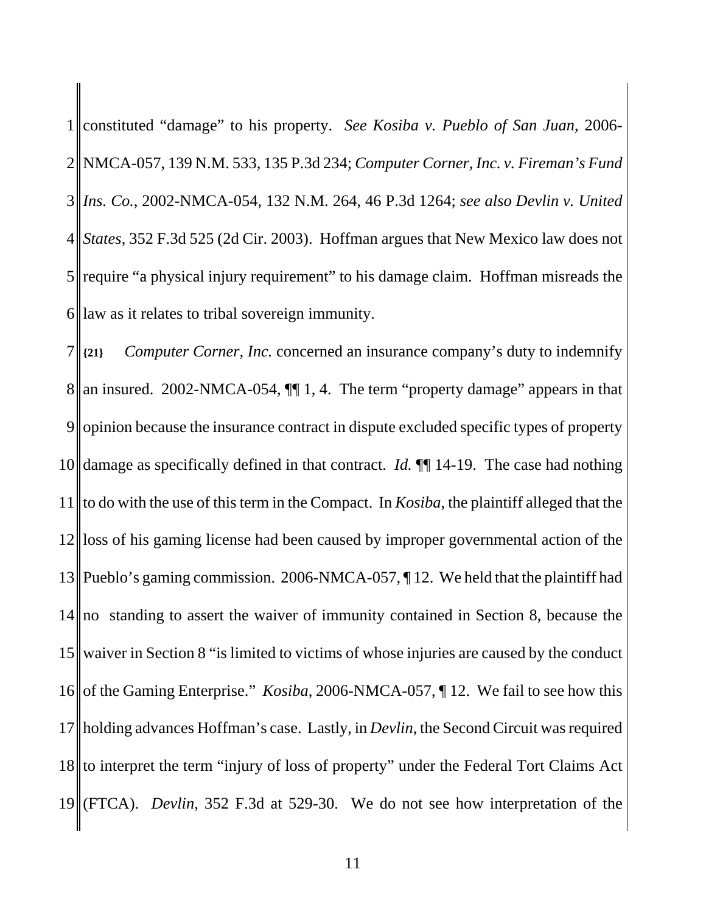constituted "damage" to his property. *See Kosiba v. Pueblo of San Juan*, 2006- NMCA-057, 139 N.M. 533, 135 P.3d 234; *Computer Corner, Inc. v. Fireman's Fund Ins. Co.*, 2002-NMCA-054, 132 N.M. 264, 46 P.3d 1264; *see also Devlin v. United States*, 352 F.3d 525 (2d Cir. 2003). Hoffman argues that New Mexico law does not require "a physical injury requirement" to his damage claim. Hoffman misreads the || law as it relates to tribal sovereign immunity.

 **{21}** *Computer Corner, Inc.* concerned an insurance company's duty to indemnify 8||an insured. 2002-NMCA-054,  $\P$ [1, 4. The term "property damage" appears in that 9 opinion because the insurance contract in dispute excluded specific types of property damage as specifically defined in that contract. *Id.* ¶¶ 14-19. The case had nothing to do with the use of this term in the Compact. In *Kosiba*, the plaintiff alleged that the 12 loss of his gaming license had been caused by improper governmental action of the Pueblo's gaming commission. 2006-NMCA-057, ¶ 12. We held that the plaintiff had no standing to assert the waiver of immunity contained in Section 8, because the waiver in Section 8 "is limited to victims of whose injuries are caused by the conduct 16 of the Gaming Enterprise." *Kosiba*, 2006-NMCA-057, ¶ 12. We fail to see how this holding advances Hoffman's case. Lastly, in *Devlin*, the Second Circuit was required 18 to interpret the term "injury of loss of property" under the Federal Tort Claims Act (FTCA). *Devlin*, 352 F.3d at 529-30. We do not see how interpretation of the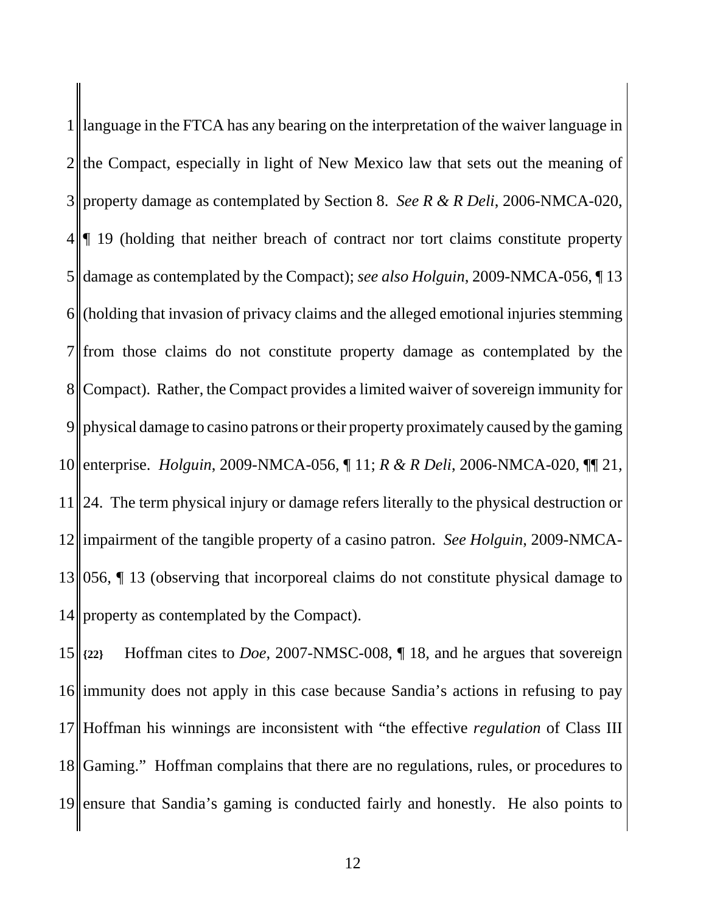||language in the FTCA has any bearing on the interpretation of the waiver language in the Compact, especially in light of New Mexico law that sets out the meaning of property damage as contemplated by Section 8. *See R & R Deli*, 2006-NMCA-020,  $4 \leq 19$  (holding that neither breach of contract nor tort claims constitute property damage as contemplated by the Compact); *see also Holguin*, 2009-NMCA-056, ¶ 13 (holding that invasion of privacy claims and the alleged emotional injuries stemming from those claims do not constitute property damage as contemplated by the 8 Compact). Rather, the Compact provides a limited waiver of sovereign immunity for physical damage to casino patrons or their property proximately caused by the gaming enterprise. *Holguin*, 2009-NMCA-056, ¶ 11; *R & R Deli*, 2006-NMCA-020, ¶¶ 21, 24. The term physical injury or damage refers literally to the physical destruction or 12 impairment of the tangible property of a casino patron. *See Holguin*, 2009-NMCA- 056, ¶ 13 (observing that incorporeal claims do not constitute physical damage to property as contemplated by the Compact).

 **{22}** Hoffman cites to *Doe*, 2007-NMSC-008, ¶ 18, and he argues that sovereign immunity does not apply in this case because Sandia's actions in refusing to pay Hoffman his winnings are inconsistent with "the effective *regulation* of Class III Gaming." Hoffman complains that there are no regulations, rules, or procedures to 19 ensure that Sandia's gaming is conducted fairly and honestly. He also points to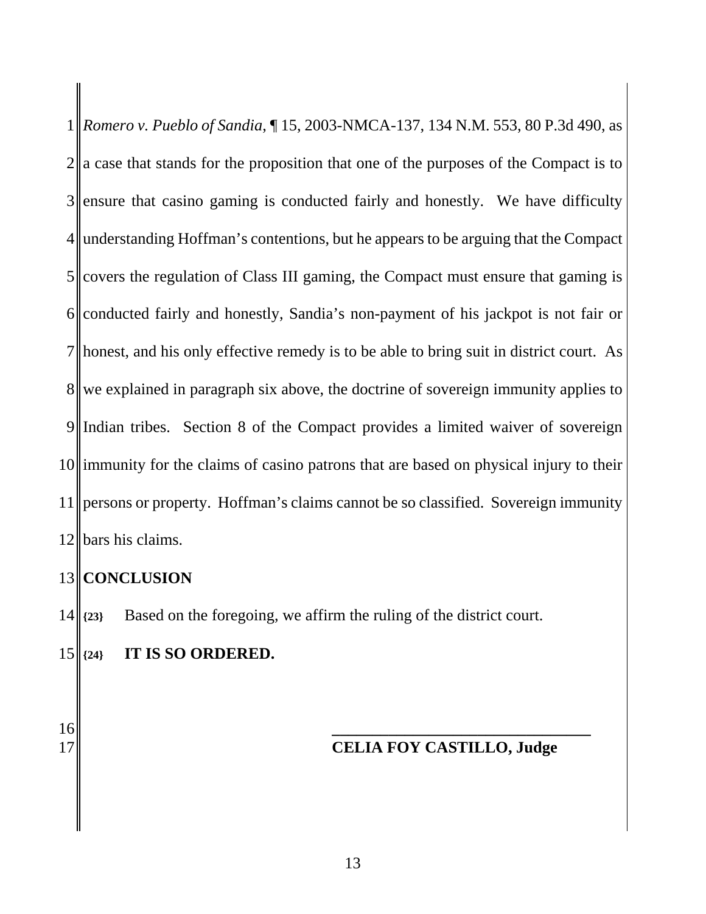*Romero v. Pueblo of Sandia*, ¶ 15, 2003-NMCA-137, 134 N.M. 553, 80 P.3d 490, as a case that stands for the proposition that one of the purposes of the Compact is to ensure that casino gaming is conducted fairly and honestly. We have difficulty understanding Hoffman's contentions, but he appears to be arguing that the Compact covers the regulation of Class III gaming, the Compact must ensure that gaming is conducted fairly and honestly, Sandia's non-payment of his jackpot is not fair or honest, and his only effective remedy is to be able to bring suit in district court. As we explained in paragraph six above, the doctrine of sovereign immunity applies to 9 Indian tribes. Section 8 of the Compact provides a limited waiver of sovereign 10 immunity for the claims of casino patrons that are based on physical injury to their persons or property. Hoffman's claims cannot be so classified. Sovereign immunity 12 bars his claims.

## **CONCLUSION**

 $14 \times 23$  Based on the foregoing, we affirm the ruling of the district court.

## **{24} IT IS SO ORDERED.**

**\_\_\_\_\_\_\_\_\_\_\_\_\_\_\_\_\_\_\_\_\_\_\_\_\_\_\_\_\_\_\_\_**

## **CELIA FOY CASTILLO, Judge**